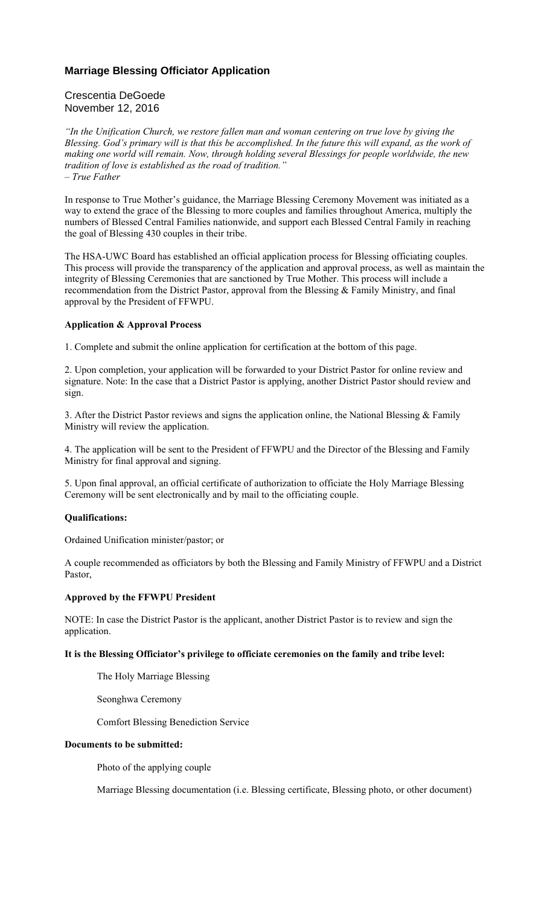### **Marriage Blessing Officiator Application**

### Crescentia DeGoede November 12, 2016

*"In the Unification Church, we restore fallen man and woman centering on true love by giving the Blessing. God's primary will is that this be accomplished. In the future this will expand, as the work of making one world will remain. Now, through holding several Blessings for people worldwide, the new tradition of love is established as the road of tradition." – True Father* 

In response to True Mother's guidance, the Marriage Blessing Ceremony Movement was initiated as a way to extend the grace of the Blessing to more couples and families throughout America, multiply the numbers of Blessed Central Families nationwide, and support each Blessed Central Family in reaching the goal of Blessing 430 couples in their tribe.

The HSA-UWC Board has established an official application process for Blessing officiating couples. This process will provide the transparency of the application and approval process, as well as maintain the integrity of Blessing Ceremonies that are sanctioned by True Mother. This process will include a recommendation from the District Pastor, approval from the Blessing & Family Ministry, and final approval by the President of FFWPU.

#### **Application & Approval Process**

1. Complete and submit the online application for certification at the bottom of this page.

2. Upon completion, your application will be forwarded to your District Pastor for online review and signature. Note: In the case that a District Pastor is applying, another District Pastor should review and sign.

3. After the District Pastor reviews and signs the application online, the National Blessing & Family Ministry will review the application.

4. The application will be sent to the President of FFWPU and the Director of the Blessing and Family Ministry for final approval and signing.

5. Upon final approval, an official certificate of authorization to officiate the Holy Marriage Blessing Ceremony will be sent electronically and by mail to the officiating couple.

### **Qualifications:**

Ordained Unification minister/pastor; or

A couple recommended as officiators by both the Blessing and Family Ministry of FFWPU and a District Pastor,

#### **Approved by the FFWPU President**

NOTE: In case the District Pastor is the applicant, another District Pastor is to review and sign the application.

#### **It is the Blessing Officiator's privilege to officiate ceremonies on the family and tribe level:**

The Holy Marriage Blessing

Seonghwa Ceremony

Comfort Blessing Benediction Service

#### **Documents to be submitted:**

Photo of the applying couple

Marriage Blessing documentation (i.e. Blessing certificate, Blessing photo, or other document)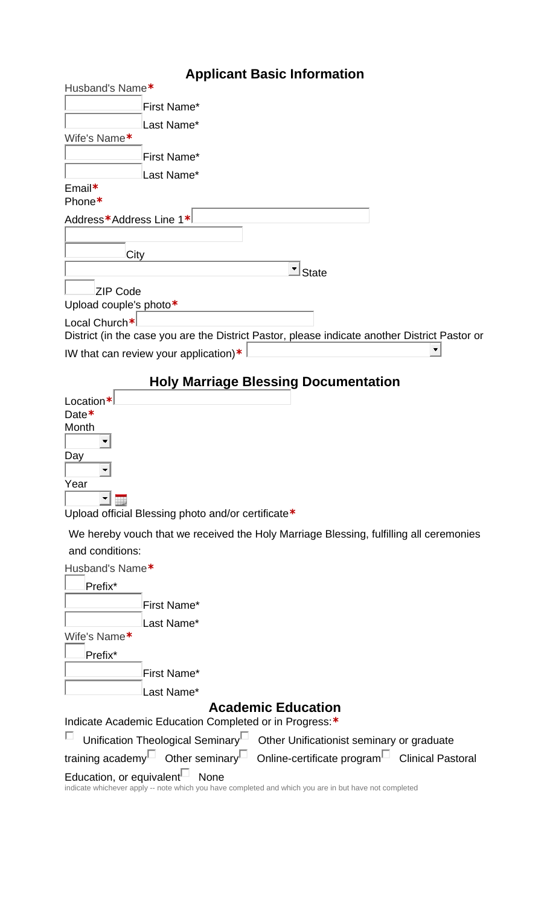# **Applicant Basic Information**

| Husband's Name*                                                                                                         |                                                                                                               |  |
|-------------------------------------------------------------------------------------------------------------------------|---------------------------------------------------------------------------------------------------------------|--|
|                                                                                                                         | First Name*                                                                                                   |  |
|                                                                                                                         | Last Name*                                                                                                    |  |
| Wife's Name*                                                                                                            |                                                                                                               |  |
|                                                                                                                         | First Name*                                                                                                   |  |
|                                                                                                                         | Last Name*                                                                                                    |  |
| Email*<br>Phone*                                                                                                        |                                                                                                               |  |
| Address*Address Line 1*                                                                                                 |                                                                                                               |  |
|                                                                                                                         |                                                                                                               |  |
| City                                                                                                                    |                                                                                                               |  |
|                                                                                                                         | State                                                                                                         |  |
| <b>ZIP Code</b>                                                                                                         |                                                                                                               |  |
| Upload couple's photo*                                                                                                  |                                                                                                               |  |
| Local Church*                                                                                                           | District (in the case you are the District Pastor, please indicate another District Pastor or                 |  |
|                                                                                                                         | IW that can review your application) $*$                                                                      |  |
|                                                                                                                         | <b>Holy Marriage Blessing Documentation</b>                                                                   |  |
| Location*<br>Date*<br>Month<br>Day<br>Year                                                                              | Upload official Blessing photo and/or certificate*                                                            |  |
|                                                                                                                         | We hereby vouch that we received the Holy Marriage Blessing, fulfilling all ceremonies                        |  |
| and conditions:                                                                                                         |                                                                                                               |  |
| Husband's Name*                                                                                                         |                                                                                                               |  |
| Prefix*                                                                                                                 |                                                                                                               |  |
|                                                                                                                         | First Name*                                                                                                   |  |
| Wife's Name*                                                                                                            | Last Name*                                                                                                    |  |
|                                                                                                                         |                                                                                                               |  |
| Prefix*                                                                                                                 |                                                                                                               |  |
|                                                                                                                         | First Name*                                                                                                   |  |
|                                                                                                                         | Last Name*<br><b>Academic Education</b>                                                                       |  |
| Indicate Academic Education Completed or in Progress:*                                                                  |                                                                                                               |  |
| Unification Theological Seminary <sup>[1]</sup> Other Unificationist seminary or graduate                               |                                                                                                               |  |
| training academy <sup><math>\Box</math></sup> Other seminary $\Box$ Online-certificate program $\Box$ Clinical Pastoral |                                                                                                               |  |
| Education, or equivalent <sup>II</sup>                                                                                  | None<br>indicate whichever apply -- note which you have completed and which you are in but have not completed |  |
|                                                                                                                         |                                                                                                               |  |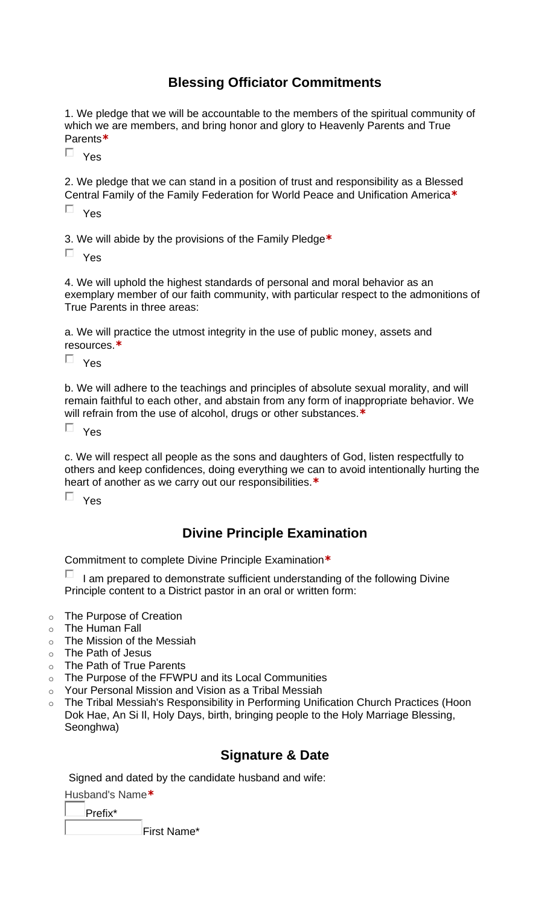## **Blessing Officiator Commitments**

1. We pledge that we will be accountable to the members of the spiritual community of which we are members, and bring honor and glory to Heavenly Parents and True Parents**\***

П. Yes

2. We pledge that we can stand in a position of trust and responsibility as a Blessed Central Family of the Family Federation for World Peace and Unification America**\***

Yes

3. We will abide by the provisions of the Family Pledge**\***

 $\Box$  Yes

4. We will uphold the highest standards of personal and moral behavior as an exemplary member of our faith community, with particular respect to the admonitions of True Parents in three areas:

a. We will practice the utmost integrity in the use of public money, assets and resources.**\***

П. Yes

b. We will adhere to the teachings and principles of absolute sexual morality, and will remain faithful to each other, and abstain from any form of inappropriate behavior. We will refrain from the use of alcohol, drugs or other substances.**\***

П. Yes

c. We will respect all people as the sons and daughters of God, listen respectfully to others and keep confidences, doing everything we can to avoid intentionally hurting the heart of another as we carry out our responsibilities.**\***

 $\Box$  Yes

## **Divine Principle Examination**

Commitment to complete Divine Principle Examination**\***

П I am prepared to demonstrate sufficient understanding of the following Divine Principle content to a District pastor in an oral or written form:

- o The Purpose of Creation
- o The Human Fall
- o The Mission of the Messiah
- o The Path of Jesus
- o The Path of True Parents
- o The Purpose of the FFWPU and its Local Communities
- o Your Personal Mission and Vision as a Tribal Messiah
- o The Tribal Messiah's Responsibility in Performing Unification Church Practices (Hoon Dok Hae, An Si Il, Holy Days, birth, bringing people to the Holy Marriage Blessing, Seonghwa)

## **Signature & Date**

Signed and dated by the candidate husband and wife:

Husband's Name**\***

Prefix\*

First Name\*